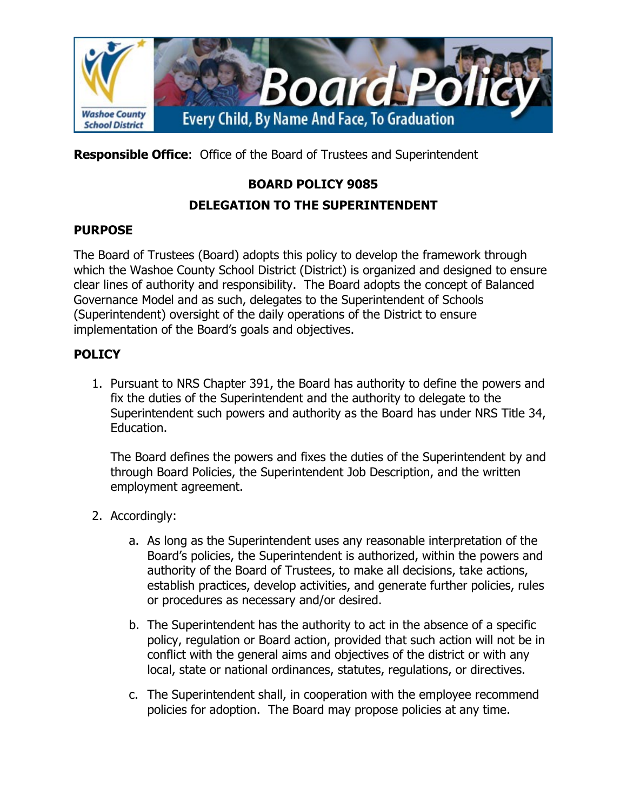

**Responsible Office**: Office of the Board of Trustees and Superintendent

# **BOARD POLICY 9085**

## **DELEGATION TO THE SUPERINTENDENT**

### **PURPOSE**

The Board of Trustees (Board) adopts this policy to develop the framework through which the Washoe County School District (District) is organized and designed to ensure clear lines of authority and responsibility. The Board adopts the concept of Balanced Governance Model and as such, delegates to the Superintendent of Schools (Superintendent) oversight of the daily operations of the District to ensure implementation of the Board's goals and objectives.

### **POLICY**

1. Pursuant to NRS Chapter 391, the Board has authority to define the powers and fix the duties of the Superintendent and the authority to delegate to the Superintendent such powers and authority as the Board has under NRS Title 34, Education.

The Board defines the powers and fixes the duties of the Superintendent by and through Board Policies, the Superintendent Job Description, and the written employment agreement.

- 2. Accordingly:
	- a. As long as the Superintendent uses any reasonable interpretation of the Board's policies, the Superintendent is authorized, within the powers and authority of the Board of Trustees, to make all decisions, take actions, establish practices, develop activities, and generate further policies, rules or procedures as necessary and/or desired.
	- b. The Superintendent has the authority to act in the absence of a specific policy, regulation or Board action, provided that such action will not be in conflict with the general aims and objectives of the district or with any local, state or national ordinances, statutes, regulations, or directives.
	- c. The Superintendent shall, in cooperation with the employee recommend policies for adoption. The Board may propose policies at any time.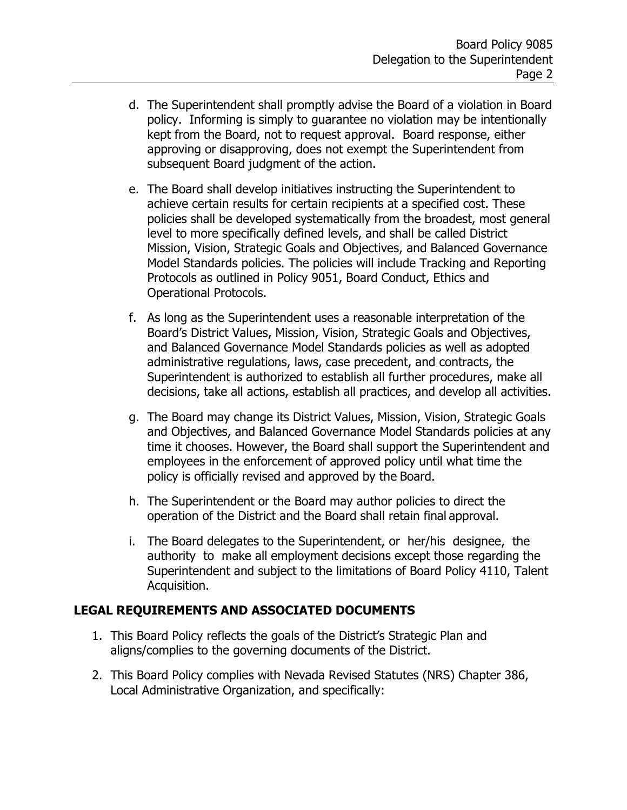- d. The Superintendent shall promptly advise the Board of a violation in Board policy. Informing is simply to guarantee no violation may be intentionally kept from the Board, not to request approval. Board response, either approving or disapproving, does not exempt the Superintendent from subsequent Board judgment of the action.
- e. The Board shall develop initiatives instructing the Superintendent to achieve certain results for certain recipients at a specified cost. These policies shall be developed systematically from the broadest, most general level to more specifically defined levels, and shall be called District Mission, Vision, Strategic Goals and Objectives, and Balanced Governance Model Standards policies. The policies will include Tracking and Reporting Protocols as outlined in Policy 9051, Board Conduct, Ethics and Operational Protocols.
- f. As long as the Superintendent uses a reasonable interpretation of the Board's District Values, Mission, Vision, Strategic Goals and Objectives, and Balanced Governance Model Standards policies as well as adopted administrative regulations, laws, case precedent, and contracts, the Superintendent is authorized to establish all further procedures, make all decisions, take all actions, establish all practices, and develop all activities.
- g. The Board may change its District Values, Mission, Vision, Strategic Goals and Objectives, and Balanced Governance Model Standards policies at any time it chooses. However, the Board shall support the Superintendent and employees in the enforcement of approved policy until what time the policy is officially revised and approved by the Board.
- h. The Superintendent or the Board may author policies to direct the operation of the District and the Board shall retain final approval.
- i. The Board delegates to the Superintendent, or her/his designee, the authority to make all employment decisions except those regarding the Superintendent and subject to the limitations of Board Policy 4110, Talent Acquisition.

## **LEGAL REQUIREMENTS AND ASSOCIATED DOCUMENTS**

- 1. This Board Policy reflects the goals of the District's Strategic Plan and aligns/complies to the governing documents of the District.
- 2. This Board Policy complies with Nevada Revised Statutes (NRS) Chapter 386, Local Administrative Organization, and specifically: